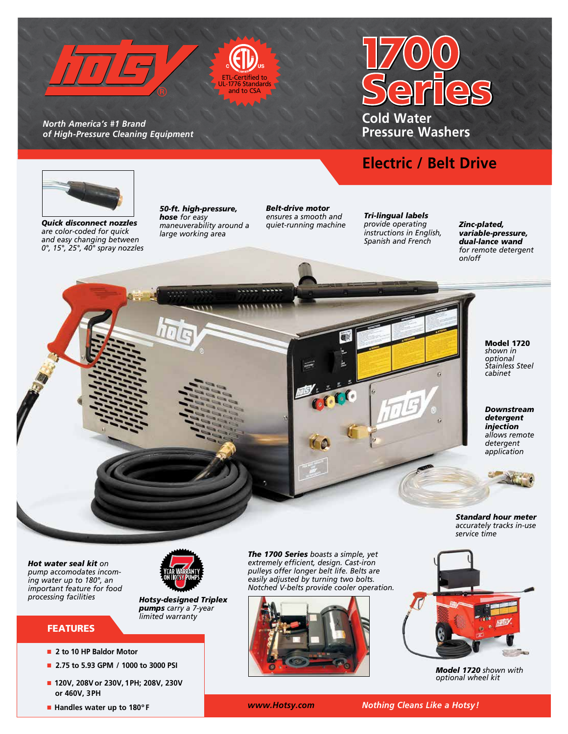



*North America's #1 Brand of High-Pressure Cleaning Equipment* 

# **Cold Water Pressure Washers**

# **Electric / Belt Drive**



*Quick disconnect nozzles are color-coded for quick and easy changing between 0°, 15°, 25°, 40° spray nozzles* *50-ft. high-pressure, hose for easy maneuverability around a large working area*

*Belt-drive motor ensures a smooth and quiet-running machine*

*Tri-lingual labels provide operating instructions in English, Spanish and French*

*Zinc-plated, variable-pressure, dual-lance wand for remote detergent on/off*

> Model 1720 *shown in optional Stainless Steel cabinet*

*Downstream detergent injection allows remote detergent application*

*Standard hour meter accurately tracks in-use service time*

*Hot water seal kit on pump accomodates incoming water up to 180°, an important feature for food processing facilities*



*Hotsy-designed Triplex pumps carry a 7-year limited warranty*

### FEATURES

- n **2 to 10 HP Baldor Motor**
- n **2.75 to 5.93 GPM / 1000 to 3000 PSI**
- n **120V, 208Vor 230V, 1PH; 208V, 230V or 460V, 3PH**

*pulleys offer longer belt life. Belts are easily adjusted by turning two bolts. Notched V-belts provide cooler operation.* 

*The 1700 Series boasts a simple, yet extremely efficient, design. Cast-iron* 



*Model 1720 shown with optional wheel kit* 

n **Handles water up to 180º F**